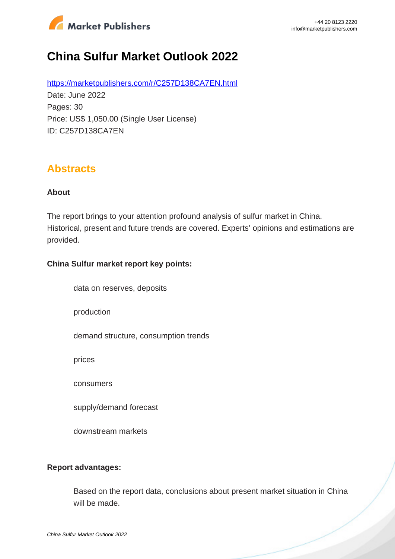

# **China Sulfur Market Outlook 2022**

https://marketpublishers.com/r/C257D138CA7EN.html Date: June 2022 Pages: 30 Price: US\$ 1,050.00 (Single User License) ID: C257D138CA7EN

## **Abstracts**

#### **About**

The report brings to your attention profound analysis of sulfur market in China. Historical, present and future trends are covered. Experts' opinions and estimations are provided.

#### **China Sulfur market report key points:**

data on reserves, deposits

production

demand structure, consumption trends

prices

consumers

supply/demand forecast

downstream markets

#### **Report advantages:**

Based on the report data, conclusions about present market situation in China will be made.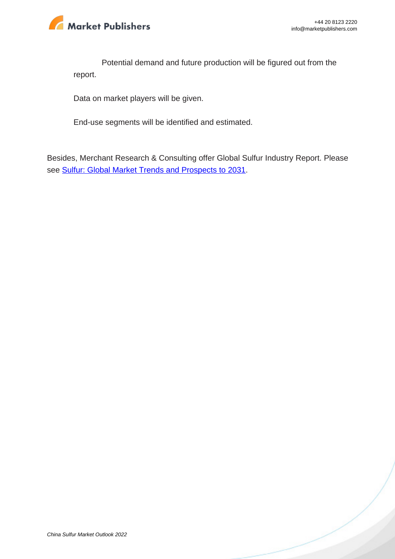

Potential demand and future production will be figured out from the report.

Data on market players will be given.

End-use segments will be identified and estimated.

Besides, Merchant Research & Consulting offer Global Sulfur Industry Report. Please see Sulfur: Global Market Trends and Prospects to 2031.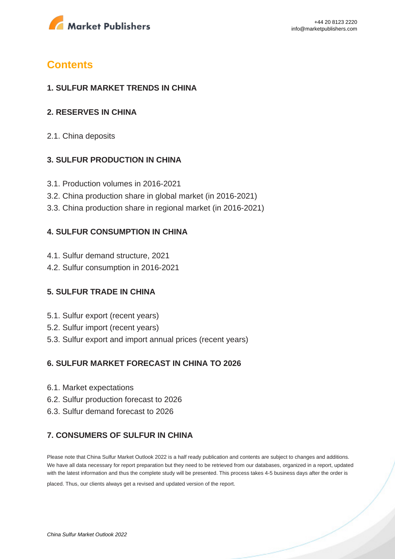

## **Contents**

#### **1. SULFUR MARKET TRENDS IN CHINA**

#### **2. RESERVES IN CHINA**

2.1. China deposits

#### **3. SULFUR PRODUCTION IN CHINA**

- 3.1. Production volumes in 2016-2021
- 3.2. China production share in global market (in 2016-2021)
- 3.3. China production share in regional market (in 2016-2021)

#### **4. SULFUR CONSUMPTION IN CHINA**

- 4.1. Sulfur demand structure, 2021
- 4.2. Sulfur consumption in 2016-2021

### **5. SULFUR TRADE IN CHINA**

- 5.1. Sulfur export (recent years)
- 5.2. Sulfur import (recent years)
- 5.3. Sulfur export and import annual prices (recent years)

### **6. SULFUR MARKET FORECAST IN CHINA TO 2026**

- 6.1. Market expectations
- 6.2. Sulfur production forecast to 2026
- 6.3. Sulfur demand forecast to 2026

### **7. CONSUMERS OF SULFUR IN CHINA**

Please note that China Sulfur Market Outlook 2022 is a half ready publication and contents are subject to changes and additions. We have all data necessary for report preparation but they need to be retrieved from our databases, organized in a report, updated with the latest information and thus the complete study will be presented. This process takes 4-5 business days after the order is

placed. Thus, our clients always get a revised and updated version of the report.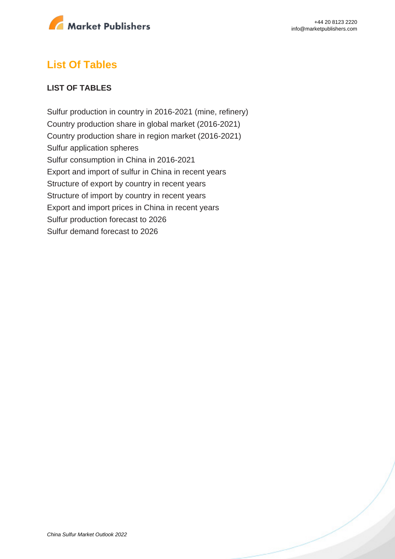

## **List Of Tables**

#### **LIST OF TABLES**

Sulfur production in country in 2016-2021 (mine, refinery) Country production share in global market (2016-2021) Country production share in region market (2016-2021) Sulfur application spheres Sulfur consumption in China in 2016-2021 Export and import of sulfur in China in recent years Structure of export by country in recent years Structure of import by country in recent years Export and import prices in China in recent years Sulfur production forecast to 2026 Sulfur demand forecast to 2026